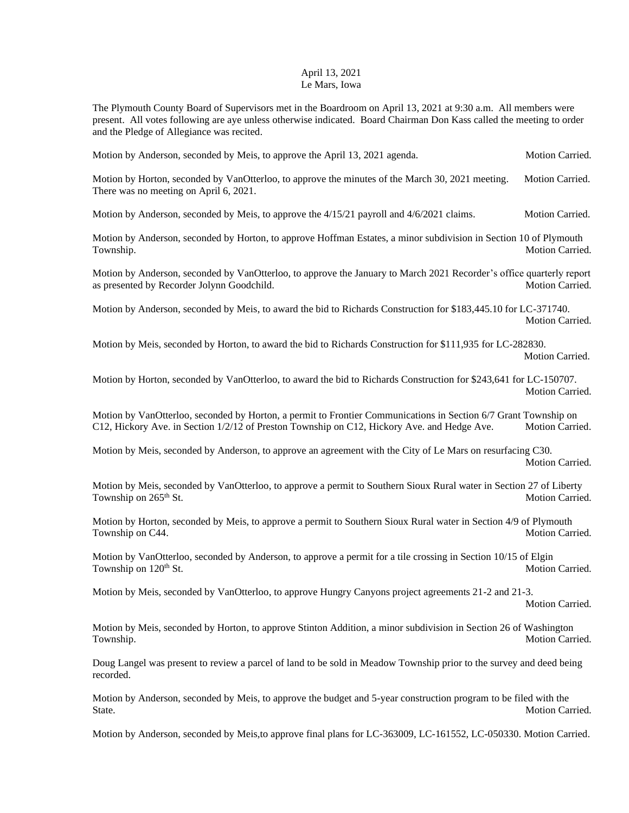## April 13, 2021 Le Mars, Iowa

The Plymouth County Board of Supervisors met in the Boardroom on April 13, 2021 at 9:30 a.m. All members were present. All votes following are aye unless otherwise indicated. Board Chairman Don Kass called the meeting to order and the Pledge of Allegiance was recited.

Motion by Anderson, seconded by Meis, to approve the April 13, 2021 agenda. Motion Carried.

Motion by Horton, seconded by VanOtterloo, to approve the minutes of the March 30, 2021 meeting. Motion Carried. There was no meeting on April 6, 2021.

Motion by Anderson, seconded by Meis, to approve the 4/15/21 payroll and 4/6/2021 claims. Motion Carried.

Motion by Anderson, seconded by Horton, to approve Hoffman Estates, a minor subdivision in Section 10 of Plymouth Township. Motion Carried.

Motion by Anderson, seconded by VanOtterloo, to approve the January to March 2021 Recorder's office quarterly report as presented by Recorder Jolynn Goodchild. Motion Carried. Motion Carried.

Motion by Anderson, seconded by Meis, to award the bid to Richards Construction for \$183,445.10 for LC-371740. Motion Carried.

Motion by Meis, seconded by Horton, to award the bid to Richards Construction for \$111,935 for LC-282830. Motion Carried.

Motion by Horton, seconded by VanOtterloo, to award the bid to Richards Construction for \$243,641 for LC-150707. Motion Carried.

Motion by VanOtterloo, seconded by Horton, a permit to Frontier Communications in Section 6/7 Grant Township on C12, Hickory Ave. in Section 1/2/12 of Preston Township on C12, Hickory Ave. and Hedge Ave. Motion Carried.

Motion by Meis, seconded by Anderson, to approve an agreement with the City of Le Mars on resurfacing C30. Motion Carried.

Motion by Meis, seconded by VanOtterloo, to approve a permit to Southern Sioux Rural water in Section 27 of Liberty Township on 265<sup>th</sup> St. Motion Carried.

Motion by Horton, seconded by Meis, to approve a permit to Southern Sioux Rural water in Section 4/9 of Plymouth Township on C44. Motion Carried.

Motion by VanOtterloo, seconded by Anderson, to approve a permit for a tile crossing in Section 10/15 of Elgin Township on  $120^{\text{th}}$  St. Motion Carried.

Motion by Meis, seconded by VanOtterloo, to approve Hungry Canyons project agreements 21-2 and 21-3. Motion Carried.

Motion by Meis, seconded by Horton, to approve Stinton Addition, a minor subdivision in Section 26 of Washington Township. Motion Carried.

Doug Langel was present to review a parcel of land to be sold in Meadow Township prior to the survey and deed being recorded.

Motion by Anderson, seconded by Meis, to approve the budget and 5-year construction program to be filed with the State. Motion Carried.

Motion by Anderson, seconded by Meis,to approve final plans for LC-363009, LC-161552, LC-050330. Motion Carried.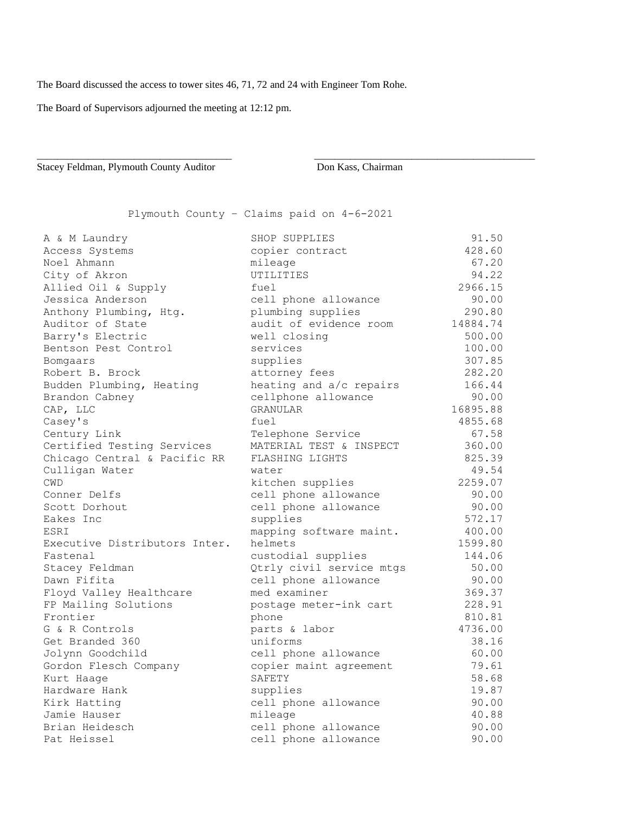The Board discussed the access to tower sites 46, 71, 72 and 24 with Engineer Tom Rohe.

The Board of Supervisors adjourned the meeting at 12:12 pm.

Stacey Feldman, Plymouth County Auditor **Don Kass**, Chairman

Plymouth County – Claims paid on 4-6-2021

\_\_\_\_\_\_\_\_\_\_\_\_\_\_\_\_\_\_\_\_\_\_\_\_\_\_\_\_\_\_\_\_\_\_\_\_\_\_ \_\_\_\_\_\_\_\_\_\_\_\_\_\_\_\_\_\_\_\_\_\_\_\_\_\_\_\_\_\_\_\_\_\_\_\_\_\_\_\_\_\_\_

| A & M Laundry                 | SHOP SUPPLIES            | 91.50    |
|-------------------------------|--------------------------|----------|
| Access Systems                | copier contract          | 428.60   |
| Noel Ahmann                   | mileage                  | 67.20    |
| City of Akron                 | UTILITIES                | 94.22    |
| Allied Oil & Supply           | fuel                     | 2966.15  |
| Jessica Anderson              | cell phone allowance     | 90.00    |
| Anthony Plumbing, Htg.        | plumbing supplies        | 290.80   |
| Auditor of State              | audit of evidence room   | 14884.74 |
| Barry's Electric              | well closing             | 500.00   |
| Bentson Pest Control          | services                 | 100.00   |
| Bomgaars                      | supplies                 | 307.85   |
| Robert B. Brock               | attorney fees            | 282.20   |
| Budden Plumbing, Heating      | heating and a/c repairs  | 166.44   |
| Brandon Cabney                | cellphone allowance      | 90.00    |
| CAP, LLC                      | <b>GRANULAR</b>          | 16895.88 |
| Casey's                       | fuel                     | 4855.68  |
| Century Link                  | Telephone Service        | 67.58    |
| Certified Testing Services    | MATERIAL TEST & INSPECT  | 360.00   |
| Chicago Central & Pacific RR  | FLASHING LIGHTS          | 825.39   |
| Culligan Water                | water                    | 49.54    |
| <b>CWD</b>                    | kitchen supplies         | 2259.07  |
| Conner Delfs                  | cell phone allowance     | 90.00    |
| Scott Dorhout                 | cell phone allowance     | 90.00    |
| Eakes Inc                     | supplies                 | 572.17   |
| ESRI                          | mapping software maint.  | 400.00   |
| Executive Distributors Inter. | helmets                  | 1599.80  |
| Fastenal                      | custodial supplies       | 144.06   |
| Stacey Feldman                | Qtrly civil service mtgs | 50.00    |
| Dawn Fifita                   | cell phone allowance     | 90.00    |
| Floyd Valley Healthcare       | med examiner             | 369.37   |
| FP Mailing Solutions          | postage meter-ink cart   | 228.91   |
| Frontier                      | phone                    | 810.81   |
| G & R Controls                | parts & labor            | 4736.00  |
| Get Branded 360               | uniforms                 | 38.16    |
| Jolynn Goodchild              | cell phone allowance     | 60.00    |
| Gordon Flesch Company         | copier maint agreement   | 79.61    |
| Kurt Haage                    | SAFETY                   | 58.68    |
| Hardware Hank                 | supplies                 | 19.87    |
| Kirk Hatting                  | cell phone allowance     | 90.00    |
| Jamie Hauser                  | mileage                  | 40.88    |
| Brian Heidesch                | cell phone allowance     | 90.00    |
| Pat Heissel                   | cell phone allowance     | 90.00    |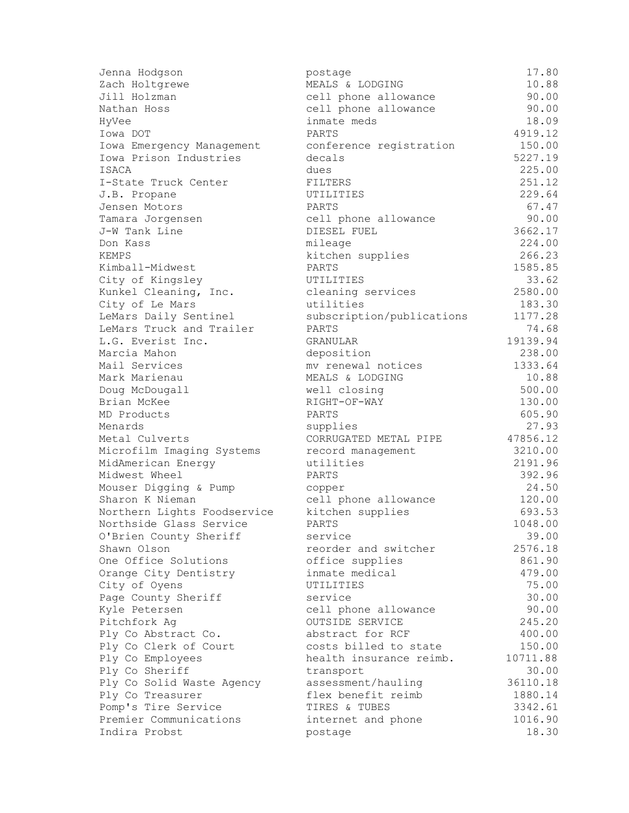| Jenna Hodgson               | postage                   | 17.80    |
|-----------------------------|---------------------------|----------|
| Zach Holtgrewe              | MEALS & LODGING           | 10.88    |
| Jill Holzman                | cell phone allowance      | 90.00    |
| Nathan Hoss                 | cell phone allowance      | 90.00    |
| HyVee                       | inmate meds               | 18.09    |
| Iowa DOT                    | PARTS                     | 4919.12  |
| Iowa Emergency Management   | conference registration   | 150.00   |
| Iowa Prison Industries      | decals                    | 5227.19  |
| ISACA                       | dues                      | 225.00   |
| I-State Truck Center        | FILTERS                   | 251.12   |
| J.B. Propane                | UTILITIES                 | 229.64   |
| Jensen Motors               | PARTS                     | 67.47    |
| Tamara Jorgensen            | cell phone allowance      | 90.00    |
| J-W Tank Line               | DIESEL FUEL               | 3662.17  |
| Don Kass                    | mileage                   | 224.00   |
| KEMPS                       | kitchen supplies          | 266.23   |
| Kimball-Midwest             | PARTS                     | 1585.85  |
| City of Kingsley            | UTILITIES                 | 33.62    |
| Kunkel Cleaning, Inc.       | cleaning services         | 2580.00  |
| City of Le Mars             | utilities                 | 183.30   |
| LeMars Daily Sentinel       | subscription/publications | 1177.28  |
| LeMars Truck and Trailer    | PARTS                     | 74.68    |
| L.G. Everist Inc.           | GRANULAR                  | 19139.94 |
| Marcia Mahon                | deposition                | 238.00   |
| Mail Services               | mv renewal notices        | 1333.64  |
| Mark Marienau               | MEALS & LODGING           | 10.88    |
| Doug McDougall              | well closing              | 500.00   |
| Brian McKee                 | RIGHT-OF-WAY              | 130.00   |
| MD Products                 | PARTS                     | 605.90   |
| Menards                     | supplies                  | 27.93    |
| Metal Culverts              | CORRUGATED METAL PIPE     | 47856.12 |
| Microfilm Imaging Systems   | record management         | 3210.00  |
| MidAmerican Energy          | utilities                 | 2191.96  |
| Midwest Wheel               | PARTS                     | 392.96   |
| Mouser Digging & Pump       | copper                    | 24.50    |
| Sharon K Nieman             | cell phone allowance      | 120.00   |
| Northern Lights Foodservice | kitchen supplies          | 693.53   |
| Northside Glass Service     | PARTS                     | 1048.00  |
| O'Brien County Sheriff      | service                   | 39.00    |
| Shawn Olson                 | reorder and switcher      | 2576.18  |
| One Office Solutions        | office supplies           | 861.90   |
| Orange City Dentistry       | inmate medical            | 479.00   |
| City of Oyens               | UTILITIES                 | 75.00    |
| Page County Sheriff         | service                   | 30.00    |
| Kyle Petersen               | cell phone allowance      | 90.00    |
| Pitchfork Ag                | OUTSIDE SERVICE           | 245.20   |
| Ply Co Abstract Co.         | abstract for RCF          | 400.00   |
| Ply Co Clerk of Court       | costs billed to state     | 150.00   |
| Ply Co Employees            | health insurance reimb.   | 10711.88 |
| Ply Co Sheriff              | transport                 | 30.00    |
| Ply Co Solid Waste Agency   | assessment/hauling        | 36110.18 |
| Ply Co Treasurer            | flex benefit reimb        | 1880.14  |
| Pomp's Tire Service         | TIRES & TUBES             | 3342.61  |
| Premier Communications      | internet and phone        | 1016.90  |
| Indira Probst               | postage                   | 18.30    |
|                             |                           |          |